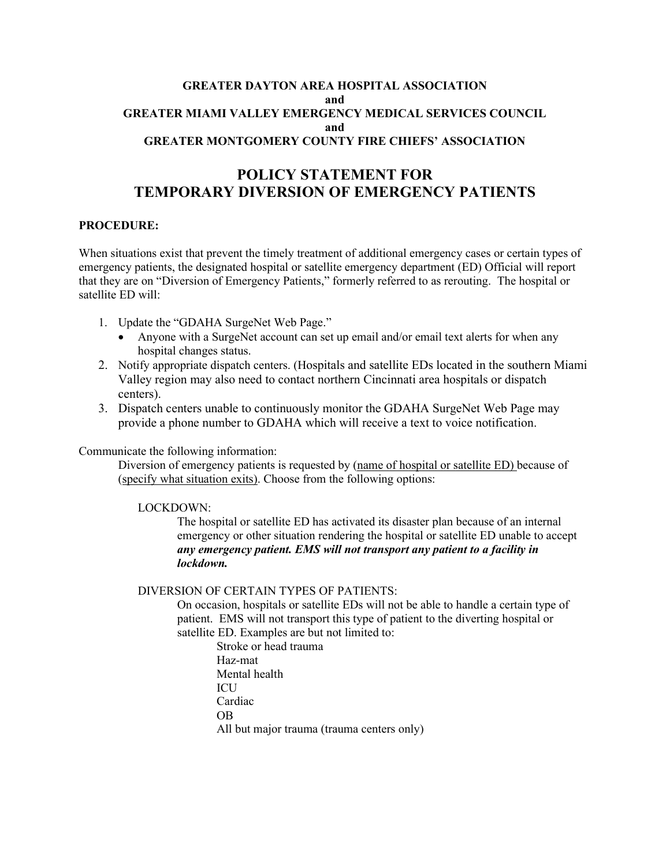# **GREATER DAYTON AREA HOSPITAL ASSOCIATION and GREATER MIAMI VALLEY EMERGENCY MEDICAL SERVICES COUNCIL and GREATER MONTGOMERY COUNTY FIRE CHIEFS' ASSOCIATION**

# **POLICY STATEMENT FOR TEMPORARY DIVERSION OF EMERGENCY PATIENTS**

# **PROCEDURE:**

When situations exist that prevent the timely treatment of additional emergency cases or certain types of emergency patients, the designated hospital or satellite emergency department (ED) Official will report that they are on "Diversion of Emergency Patients," formerly referred to as rerouting. The hospital or satellite ED will:

- 1. Update the "GDAHA SurgeNet Web Page."
	- Anyone with a SurgeNet account can set up email and/or email text alerts for when any hospital changes status.
- 2. Notify appropriate dispatch centers. (Hospitals and satellite EDs located in the southern Miami Valley region may also need to contact northern Cincinnati area hospitals or dispatch centers).
- 3. Dispatch centers unable to continuously monitor the GDAHA SurgeNet Web Page may provide a phone number to GDAHA which will receive a text to voice notification.

Communicate the following information:

Diversion of emergency patients is requested by (name of hospital or satellite ED) because of (specify what situation exits). Choose from the following options:

## LOCKDOWN:

The hospital or satellite ED has activated its disaster plan because of an internal emergency or other situation rendering the hospital or satellite ED unable to accept *any emergency patient. EMS will not transport any patient to a facility in lockdown.* 

#### DIVERSION OF CERTAIN TYPES OF PATIENTS:

On occasion, hospitals or satellite EDs will not be able to handle a certain type of patient. EMS will not transport this type of patient to the diverting hospital or satellite ED. Examples are but not limited to:

Stroke or head trauma Haz-mat Mental health **ICU** Cardiac OB All but major trauma (trauma centers only)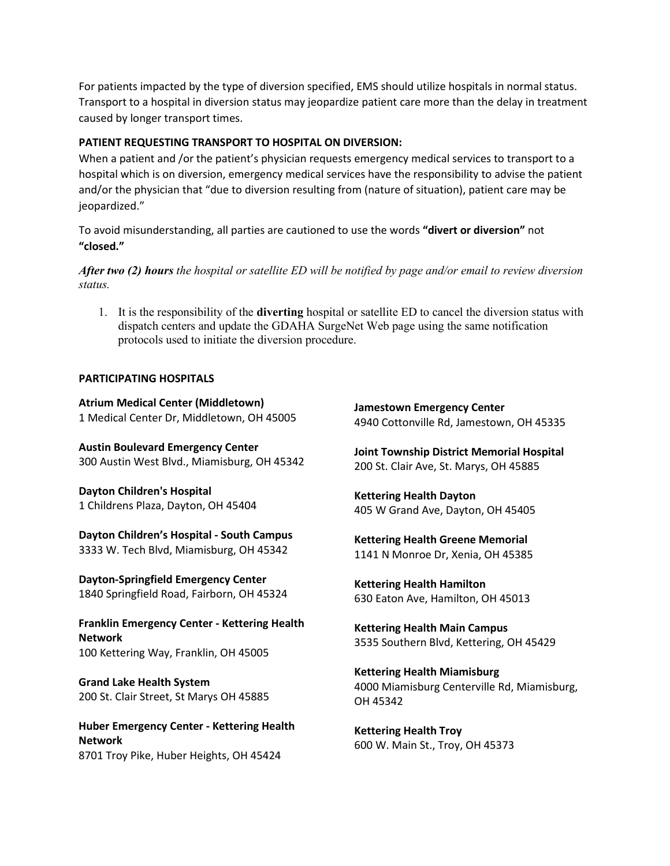For patients impacted by the type of diversion specified, EMS should utilize hospitals in normal status. Transport to a hospital in diversion status may jeopardize patient care more than the delay in treatment caused by longer transport times.

#### **PATIENT REQUESTING TRANSPORT TO HOSPITAL ON DIVERSION:**

When a patient and /or the patient's physician requests emergency medical services to transport to a hospital which is on diversion, emergency medical services have the responsibility to advise the patient and/or the physician that "due to diversion resulting from (nature of situation), patient care may be jeopardized."

To avoid misunderstanding, all parties are cautioned to use the words **"divert or diversion"** not **"closed."**

*After two (2) hours the hospital or satellite ED will be notified by page and/or email to review diversion status.* 

1. It is the responsibility of the **diverting** hospital or satellite ED to cancel the diversion status with dispatch centers and update the GDAHA SurgeNet Web page using the same notification protocols used to initiate the diversion procedure.

#### **PARTICIPATING HOSPITALS**

**Atrium Medical Center (Middletown)** 1 Medical Center Dr, Middletown, OH 45005

**Austin Boulevard Emergency Center** 300 Austin West Blvd., Miamisburg, OH 45342

**Dayton Children's Hospital** 1 Childrens Plaza, Dayton, OH 45404

**Dayton Children's Hospital - South Campus** 3333 W. Tech Blvd, Miamisburg, OH 45342

**Dayton-Springfield Emergency Center** 1840 Springfield Road, Fairborn, OH 45324

**Franklin Emergency Center - Kettering Health Network** 100 Kettering Way, Franklin, OH 45005

**Grand Lake Health System** 200 St. Clair Street, St Marys OH 45885

**Huber Emergency Center - Kettering Health Network** 8701 Troy Pike, Huber Heights, OH 45424

**Jamestown Emergency Center** 4940 Cottonville Rd, Jamestown, OH 45335

**Joint Township District Memorial Hospital** 200 St. Clair Ave, St. Marys, OH 45885

**Kettering Health Dayton** 405 W Grand Ave, Dayton, OH 45405

**Kettering Health Greene Memorial**  1141 N Monroe Dr, Xenia, OH 45385

**Kettering Health Hamilton**  630 Eaton Ave, Hamilton, OH 45013

**Kettering Health Main Campus** 3535 Southern Blvd, Kettering, OH 45429

**Kettering Health Miamisburg** 4000 Miamisburg Centerville Rd, Miamisburg, OH 45342

**Kettering Health Troy** 600 W. Main St., Troy, OH 45373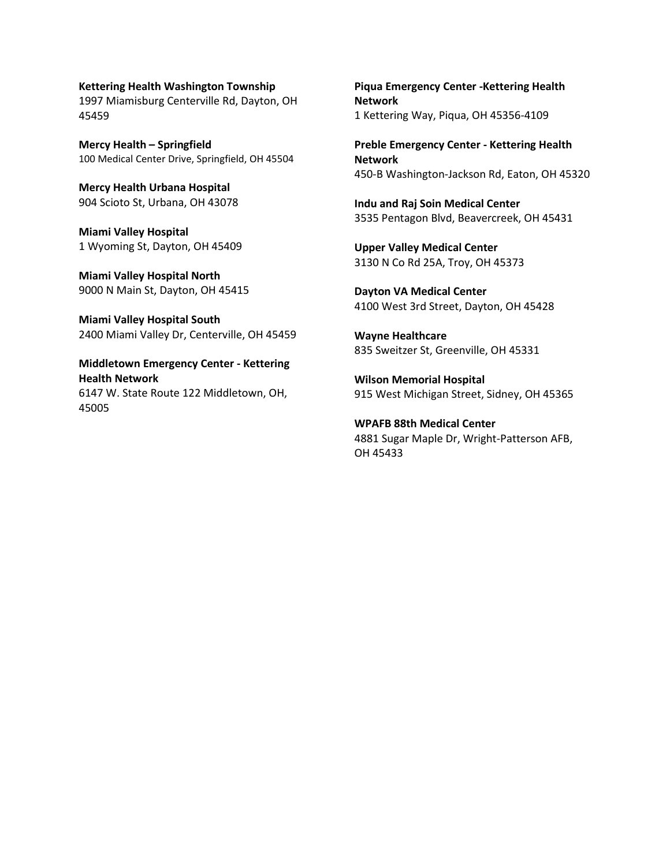#### **Kettering Health Washington Township** 1997 Miamisburg Centerville Rd, Dayton, OH

45459

**Mercy Health – Springfield** 100 Medical Center Drive, Springfield, OH 45504

**Mercy Health Urbana Hospital** 904 Scioto St, Urbana, OH 43078

**Miami Valley Hospital** 1 Wyoming St, Dayton, OH 45409

**Miami Valley Hospital North** 9000 N Main St, Dayton, OH 45415

**Miami Valley Hospital South** 2400 Miami Valley Dr, Centerville, OH 45459

**Middletown Emergency Center - Kettering Health Network** 6147 W. State Route 122 Middletown, OH, 45005

**Piqua Emergency Center -Kettering Health Network** 1 Kettering Way, Piqua, OH 45356-4109

**Preble Emergency Center - Kettering Health Network** 450-B Washington-Jackson Rd, Eaton, OH 45320

**Indu and Raj Soin Medical Center** 3535 Pentagon Blvd, Beavercreek, OH 45431

**Upper Valley Medical Center** 3130 N Co Rd 25A, Troy, OH 45373

**Dayton VA Medical Center** 4100 West 3rd Street, Dayton, OH 45428

**Wayne Healthcare** 835 Sweitzer St, Greenville, OH 45331

**Wilson Memorial Hospital** 915 West Michigan Street, Sidney, OH 45365

**WPAFB 88th Medical Center** 4881 Sugar Maple Dr, Wright-Patterson AFB, OH 45433